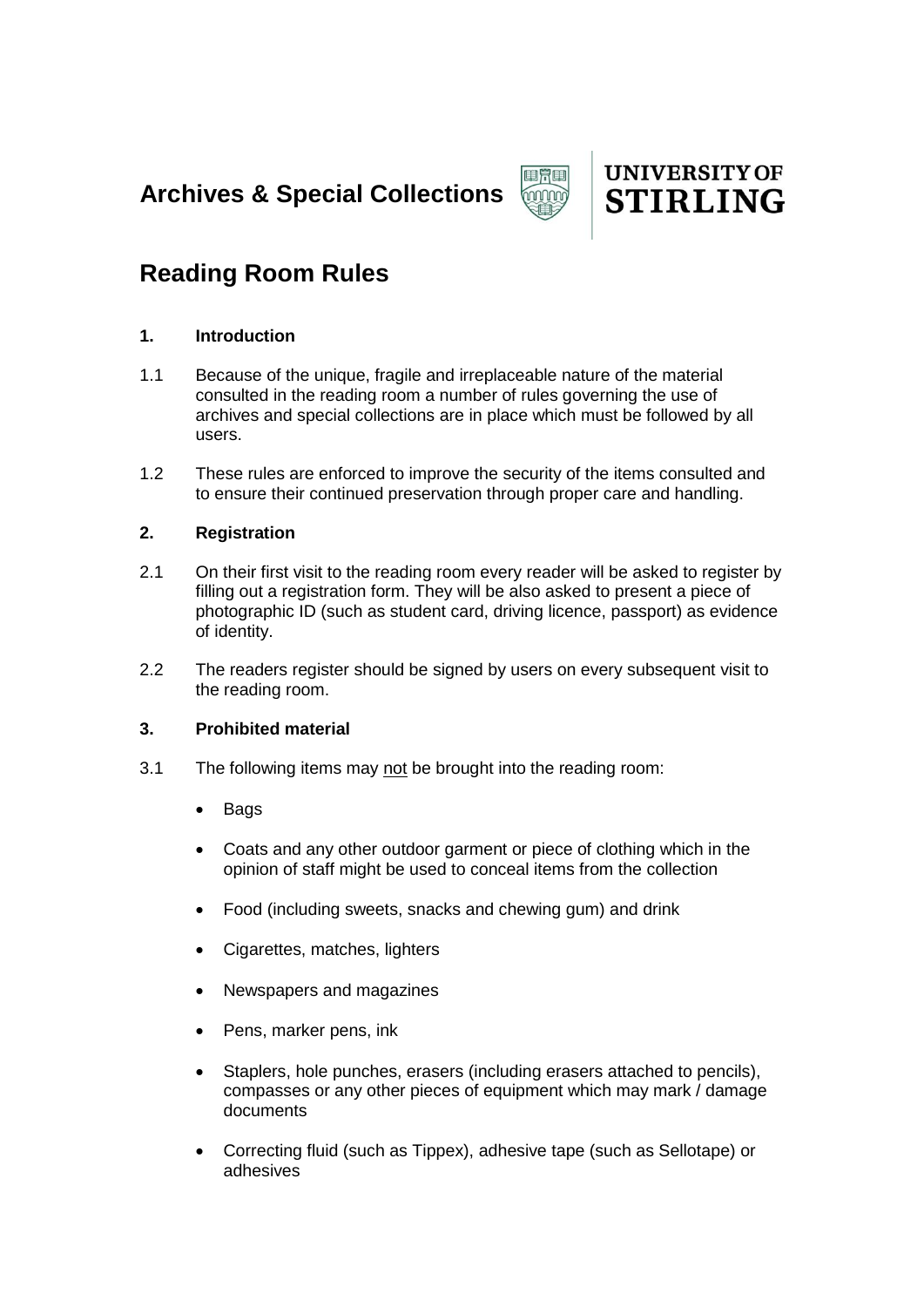**Archives & Special Collections** 





# **Reading Room Rules**

## **1. Introduction**

- 1.1 Because of the unique, fragile and irreplaceable nature of the material consulted in the reading room a number of rules governing the use of archives and special collections are in place which must be followed by all users.
- 1.2 These rules are enforced to improve the security of the items consulted and to ensure their continued preservation through proper care and handling.

## **2. Registration**

- 2.1 On their first visit to the reading room every reader will be asked to register by filling out a registration form. They will be also asked to present a piece of photographic ID (such as student card, driving licence, passport) as evidence of identity.
- 2.2 The readers register should be signed by users on every subsequent visit to the reading room.

## **3. Prohibited material**

- 3.1 The following items may not be brought into the reading room:
	- Bags
	- Coats and any other outdoor garment or piece of clothing which in the opinion of staff might be used to conceal items from the collection
	- Food (including sweets, snacks and chewing gum) and drink
	- Cigarettes, matches, lighters
	- Newspapers and magazines
	- Pens, marker pens, ink
	- Staplers, hole punches, erasers (including erasers attached to pencils), compasses or any other pieces of equipment which may mark / damage documents
	- Correcting fluid (such as Tippex), adhesive tape (such as Sellotape) or adhesives